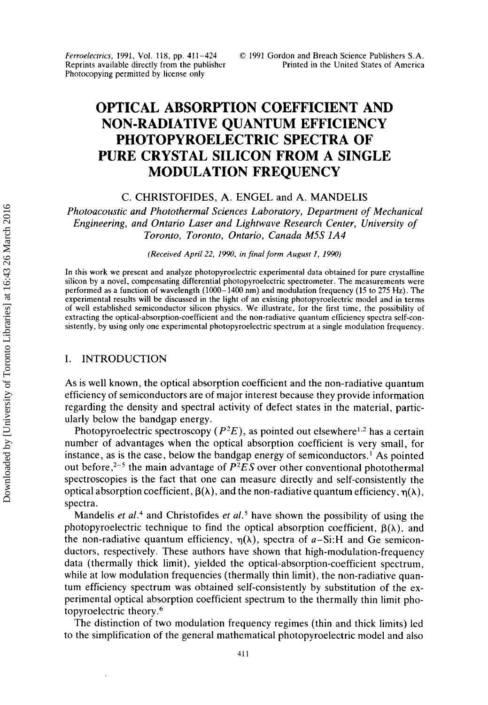*Ferroelecfrics,* 1991, Vol. **118,** pp. **411-424**  Reprints available directly from the publisher Photocopying permitted by license only

# **OPTICAL ABSORPTION COEFFICIENT AND PHOTOPYROELECTRIC SPECTRA OF PURE CRYSTAL SILICON FROM A SINGLE MODULATION FREQUENCY NON-RADIATIVE QUANTUM EFFICIENCY**

C. CHRISTOFIDES, A. ENGEL and *A.* MANDELIS

*Photoacoustic and Photothermal Sciences Laboratory, Department of Mechanical Engineering, and Ontario Laser and Lightwave Research Center, University of Toronto, Toronto, Ontario, Canada MSS lA4* 

*(Received April* 22, *1990, in final form August I, 1990)* 

In this work we present and analyze photopyroelectric experimental data obtained for pure crystalline silicon by a novel, compensating differential photopyroelectric spectrometer. The measurements were performed as a function of wavelength (1000-1400 nm) and modulation frequency (15 to 275 **Hz).** The experimental results will be discussed in the light of an existing photopyroelectric model and in terms of well established semiconductor silicon physics. We illustrate, for the first time, the possibility of extracting the optical-absorption-coefficient and the non-radiative quantum efficiency spectra self-consistently, by using only one experimental photopyroelectric spectrum at a single modulation frequency.

#### I. INTRODUCTION

**As** is well known, the optical absorption coefficient and the non-radiative quantum efficiency of semiconductors are of major interest because they provide information regarding the density and spectral activity of defect states in the material, particularly below the bandgap energy.

Photopyroelectric spectroscopy  $(P^2E)$ , as pointed out elsewhere<sup>1,2</sup> has a certain number of advantages when the optical absorption coefficient is very small, for instance, as is the case, below the bandgap energy of semiconductors.' **As** pointed out before,<sup>2-5</sup> the main advantage of  $P^2ES$  over other conventional photothermal spectroscopies is the fact that one can measure directly and self-consistently the optical absorption coefficient,  $\beta(\lambda)$ , and the non-radiative quantum efficiency,  $\eta(\lambda)$ , spectra.

Mandelis *et al.4* and Christofides *et al.5* have shown the possibility of using the photopyroelectric technique to find the optical absorption coefficient,  $\beta(\lambda)$ , and the non-radiative quantum efficiency,  $\eta(\lambda)$ , spectra of  $a-Si$ : H and Ge semiconductors, respectively. These authors have shown that high-modulation-frequency data (thermally thick limit), yielded the optical-absorption-coefficient spectrum, while at low modulation frequencies (thermally thin limit), the non-radiative quantum efficiency spectrum was obtained self-consistently by substitution of the experimental optical absorption coefficient spectrum to the thermally thin limit photopyroelectric theory.6

The distinction of two modulation frequency regimes (thin and thick limits) led to the simplification of the general mathematical photopyroelectric model and also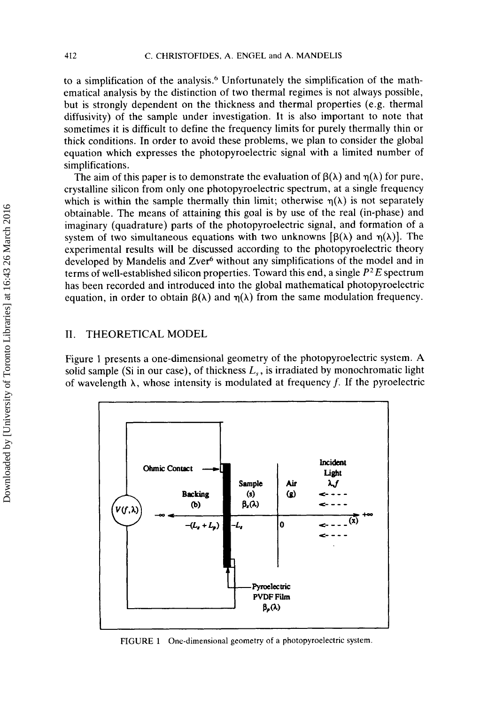to a simplification of the analysis.<sup>6</sup> Unfortunately the simplification of the mathematical analysis by the distinction of two thermal regimes is not always possible, but is strongly dependent on the thickness and thermal properties (e.g. thermal diffusivity) of the sample under investigation. It is also important to note that sometimes it is difficult to define the frequency limits for purely thermally thin or thick conditions. In order to avoid these problems, we plan to consider the global equation which expresses the photopyroelectric signal with a limited number of simplifications.

The aim of this paper is to demonstrate the evaluation of  $\beta(\lambda)$  and  $\eta(\lambda)$  for pure, crystalline silicon from only one photopyroelectric spectrum, at a single frequency which is within the sample thermally thin limit; otherwise  $\eta(\lambda)$  is not separately obtainable. The means of attaining this goal is by use of the real (in-phase) and imaginary (quadrature) parts of the photopyroelectric signal, and formation of a system of two simultaneous equations with two unknowns  $[\beta(\lambda)]$  and  $\eta(\lambda)$ . The experimental results will be discussed according to the photopyroelectric theory developed by Mandelis and Zver<sup>6</sup> without any simplifications of the model and in terms of well-established silicon properties. Toward this end, a single *P2 E* spectrum has been recorded and introduced into the global mathematical photopyroelectric equation, in order to obtain  $\beta(\lambda)$  and  $\eta(\lambda)$  from the same modulation frequency.

# 11. THEORETICAL MODEL

Figure 1 presents a one-dimensional geometry of the photopyroelectric system. **A**  solid sample (Si in our case), of thickness  $L<sub>s</sub>$ , is irradiated by monochromatic light of wavelength  $\lambda$ , whose intensity is modulated at frequency *f*. If the pyroelectric



**FIGURE 1 One-dimensional geometry of a photopyroelectric system.**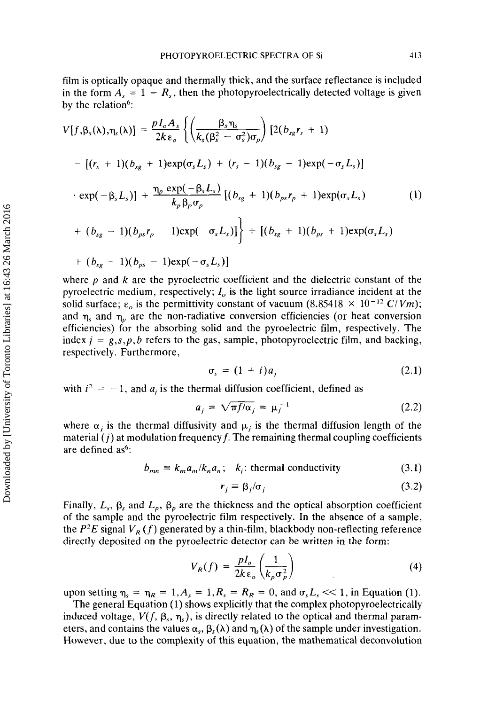film is optically opaque and thermally thick, and the surface reflectance is included in the form  $A_s = 1 - R_s$ , then the photopyroelectrically detected voltage is given by the relation<sup>6</sup>:

$$
V[f, \beta_{s}(\lambda), \eta_{s}(\lambda)] = \frac{pI_{o}A_{s}}{2k\epsilon_{o}} \left\{ \left( \frac{\beta_{s}\eta_{s}}{k_{s}(\beta_{s}^{2} - \sigma_{s}^{2})\sigma_{p}} \right) [2(b_{sg}r_{s} + 1) - [(r_{s} + 1)(b_{sg} + 1)exp(\sigma_{s}L_{s}) + (r_{s} - 1)(b_{sg} - 1)exp(-\sigma_{s}L_{s})] \right\}
$$
  
\n
$$
\cdot exp(-\beta_{s}L_{s})] + \frac{\eta_{p} exp(-\beta_{s}L_{s})}{k_{p}\beta_{p}\sigma_{p}} [(b_{sg} + 1)(b_{ps}r_{p} + 1)exp(\sigma_{s}L_{s}) - (1) + (b_{sg} - 1)(b_{ps}r_{p} - 1)exp(-\sigma_{s}L_{s})] \right\} + [(b_{sg} + 1)(b_{ps} + 1)exp(\sigma_{s}L_{s}) + (b_{sg} - 1)(b_{ps} - 1)exp(-\sigma_{s}L_{s})]
$$

where *p* and *k* are the pyroelectric coefficient and the dielectric constant of the pyroelectric medium, respectively;  $I<sub>o</sub>$  is the light source irradiance incident at the solid surface;  $\epsilon_o$  is the permittivity constant of vacuum (8.85418  $\times$  10<sup>-12</sup> C/Vm); and  $\eta_s$  and  $\eta_p$  are the non-radiative conversion efficiencies (or heat conversion efficiencies) for the absorbing solid and the pyroelectric film, respectively. The index  $j = g, s, p, b$  refers to the gas, sample, photopyroelectric film, and backing, respectively. Furthermore,

$$
\sigma_s = (1 + i)a_j \tag{2.1}
$$

with  $i^2 = -1$ , and  $a_j$  is the thermal diffusion coefficient, defined as

$$
a_j = \sqrt{\pi f/\alpha_j} = \mu_j^{-1}
$$
 (2.2)

where  $\alpha_i$  is the thermal diffusivity and  $\mu_i$  is the thermal diffusion length of the material  $(j)$  at modulation frequency  $f$ . The remaining thermal coupling coefficients are defined as<sup>6</sup>:

$$
b_{mn} \equiv k_m a_m / k_n a_n; \quad k_j; \text{ thermal conductivity} \tag{3.1}
$$

$$
r_j \equiv \beta_j / \sigma_j \tag{3.2}
$$

Finally,  $L_s$ ,  $\beta_s$  and  $L_p$ ,  $\beta_p$  are the thickness and the optical absorption coefficient of the sample and the pyroelectric film respectively. In the absence of a sample, the  $P^2E$  signal  $V_R(f)$  generated by a thin-film, blackbody non-reflecting reference directly deposited on the pyroelectric detector can be written in the form:

$$
V_R(f) = \frac{pI_o}{2k\,\varepsilon_o} \left(\frac{1}{k_p \sigma_p^2}\right) \tag{4}
$$

upon setting  $\eta_s = \eta_R = 1, A_s = 1, R_s = R_R = 0$ , and  $\sigma_s L_s \ll 1$ , in Equation (1).

The general Equation (1) shows explicitly that the complex photopyroelectrically induced voltage,  $V(f, \beta_s, \eta_s)$ , is directly related to the optical and thermal parameters, and contains the values  $\alpha_s$ ,  $\beta_s(\lambda)$  and  $\eta_s(\lambda)$  of the sample under investigation. However, due to the complexity of this equation, the mathematical deconvolution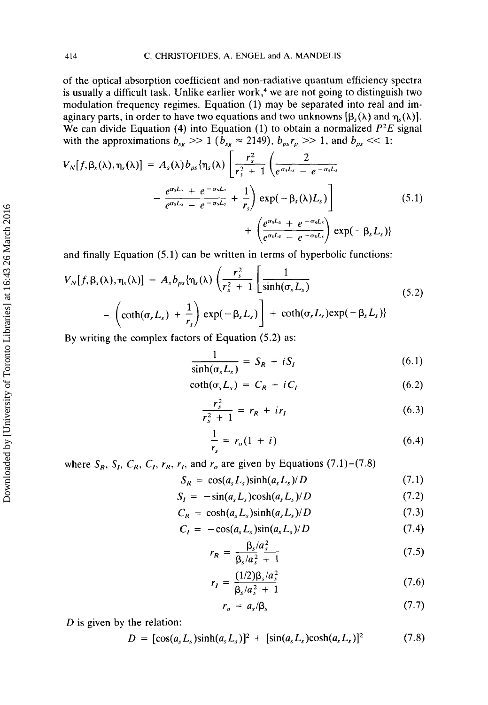of the optical absorption coefficient and non-radiative quantum efficiency spectra is usually a difficult task. Unlike earlier work, $4$  we are not going to distinguish two modulation frequency regimes. Equation (1) may be separated into real and imaginary parts, in order to have two equations and two unknowns  $[\beta_{\nu}(\lambda)]$  and  $\eta_{\nu}(\lambda)$ . We can divide Equation (4) into Equation (1) to obtain a normalized *P2E* signal with the approximations  $b_{sg} \gg 1$  ( $b_{sg} \approx 2149$ ),  $b_{ps}r_p \gg 1$ , and  $b_{ps} \ll 1$ :

$$
V_N[f, \beta_s(\lambda), \eta_s(\lambda)] = A_s(\lambda) b_{\rho s} {\eta_s(\lambda)} \left[ \frac{r_s^2}{r_s^2 + 1} \left( \frac{2}{e^{\sigma_s L_s} - e^{-\sigma_s L_s}} - \frac{e^{\sigma_s L_s} + e^{-\sigma_s L_s}}{e^{\sigma_s L_s} - e^{-\sigma_s L_s}} + \frac{1}{r_s} \right) \exp(-\beta_s(\lambda) L_s) \right] \tag{5.1}
$$
  
+ 
$$
\left( \frac{e^{\sigma_s L_s} + e^{-\sigma_s L_s}}{e^{\sigma_s L_s} - e^{-\sigma_s L_s}} \right) \exp(-\beta_s L_s)
$$

and finally Equation **(5.1)** can be written in terms of hyperbolic functions:

$$
V_N[f, \beta_s(\lambda), \eta_s(\lambda)] = A_s b_{ps} \{ \eta_s(\lambda) \left( \frac{r_s^2}{r_s^2 + 1} \left[ \frac{1}{\sinh(\sigma_s L_s)} - \left( \coth(\sigma_s L_s) + \frac{1}{r_s} \right) \exp(-\beta_s L_s) \right] + \coth(\sigma_s L_s) \exp(-\beta_s L_s) \}
$$
(5.2)

By writing the complex factors of Equation (5.2) as:

$$
\frac{1}{\sinh(\sigma_s L_s)} = S_R + iS_I \tag{6.1}
$$

$$
\coth(\sigma_s L_s) = C_R + iC_I \tag{6.2}
$$

$$
\frac{r_s^2}{r_s^2 + 1} = r_R + ir_I \tag{6.3}
$$

$$
\frac{1}{r_s} = r_o(1 + i)
$$
 (6.4)

where  $S_R$ ,  $S_I$ ,  $C_R$ ,  $C_I$ ,  $r_R$ ,  $r_I$ , and  $r_o$  are given by Equations (7.1)-(7.8)

$$
S_R = \cos(a_s L_s) \sinh(a_s L_s) / D \qquad (7.1)
$$

$$
S_I = -\sin(a_s L_s) \cosh(a_s L_s) / D \tag{7.2}
$$

$$
C_R = \cosh(a_s L_s) \sinh(a_s L_s) / D \qquad (7.3)
$$

$$
C_I = -\cos(a_s L_s)\sin(a_s L_s)/D \tag{7.4}
$$

$$
r_R = \frac{\beta_s/a_s^2}{\beta_s/a_s^2 + 1} \tag{7.5}
$$

$$
r_{R} = \frac{\beta_{s}/a_{s}^{2} + 1}{\beta_{s}/a_{s}^{2} + 1}
$$
\n
$$
r_{I} = \frac{(1/2)\beta_{s}/a_{s}^{2}}{\beta_{s}/a_{s}^{2} + 1}
$$
\n(7.6)

$$
r_o = a_s/\beta_s \tag{7.7}
$$

 $D$  is given by the relation:

$$
D = [\cos(a_s L_s) \sinh(a_s L_s)]^2 + [\sin(a_s L_s) \cosh(a_s L_s)]^2
$$
 (7.8)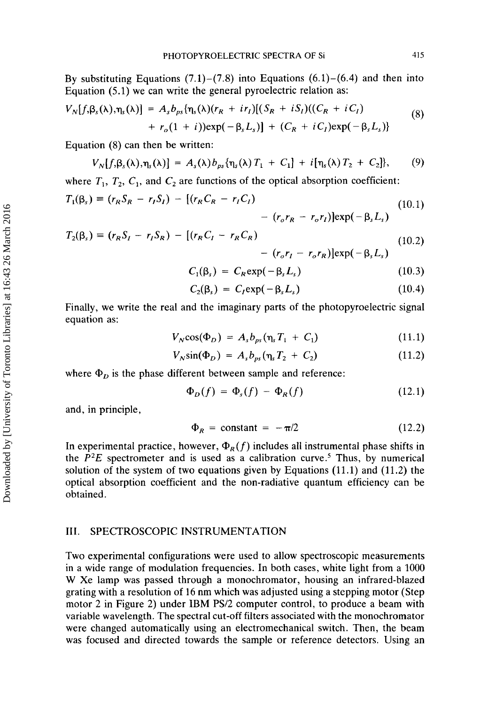By substituting Equations  $(7.1)$ - $(7.8)$  into Equations  $(6.1)$ - $(6.4)$  and then into Equation (5.1) we can write the general pyroelectric relation as:

$$
V_N[f,\beta_s(\lambda),\eta_s(\lambda)] = A_s b_{ps} \{\eta_s(\lambda)(r_R + ir_I)[(S_R + iS_I)((C_R + iC_I) + r_o(1 + i))exp(-\beta_s L_s)] + (C_R + iC_I)exp(-\beta_s L_s)\}
$$
(8)

Equation **(8)** can then be written:

$$
V_N[f,\beta_s(\lambda),\eta_s(\lambda)] = A_s(\lambda) b_{ps} \{\eta_s(\lambda) T_1 + C_1\} + i[\eta_s(\lambda) T_2 + C_2]\}, \qquad (9)
$$

where  $T_1$ ,  $T_2$ ,  $C_1$ , and  $C_2$  are functions of the optical absorption coefficient:

$$
T_1(\beta_s) = (r_R S_R - r_I S_I) - [(r_R C_R - r_I C_I) - (r_o r_R - r_o r_I)] \exp(-\beta_s L_s)
$$
(10.1)

$$
T_2(\beta_s) = (r_R S_I - r_I S_R) - [(r_R C_I - r_R C_R) - (r_o r_I - r_o r_R)] \exp(-\beta_s L_s)
$$
(10.2)

$$
C_1(\beta_s) = C_R \exp(-\beta_s L_s) \qquad (10.3)
$$

$$
C_2(\beta_s) = C_I \exp(-\beta_s L_s) \qquad (10.4)
$$

Finally, we write the real and the imaginary parts of the photopyroelectric signal equation as:

$$
V_N \cos(\Phi_D) = A_s b_{\rho s} (\eta_s T_1 + C_1) \qquad (11.1)
$$

$$
V_N \sin(\Phi_D) = A_s b_{ps} (\eta_s T_2 + C_2)
$$
 (11.2)

where  $\Phi_D$  is the phase different between sample and reference:

$$
\Phi_D(f) = \Phi_s(f) - \Phi_R(f) \tag{12.1}
$$

and, in principle,

$$
\Phi_R = \text{constant} = -\pi/2 \tag{12.2}
$$

In experimental practice, however,  $\Phi_R(f)$  includes all instrumental phase shifts in the  $P^2E$  spectrometer and is used as a calibration curve.<sup>5</sup> Thus, by numerical solution of the system of two equations given by Equations (11.1) and (11.2) the optical absorption coefficient and the non-radiative quantum efficiency can be obtained.

## 111. SPECTROSCOPIC INSTRUMENTATION

Two experimental configurations were used to allow spectroscopic measurements in a wide range of modulation frequencies. In both cases, white light from a 1000 **W** Xe lamp was passed through a monochromator, housing an infrared-blazed grating with a resolution of 16 nm which was adjusted using a stepping motor (Step motor 2 in Figure 2) under IBM PS/2 computer control, to produce a beam with variable wavelength. The spectral cut-off filters associated with the monochromator were changed automatically using an electromechanical switch. Then, the beam was focused and directed towards the sample **or** reference detectors. Using an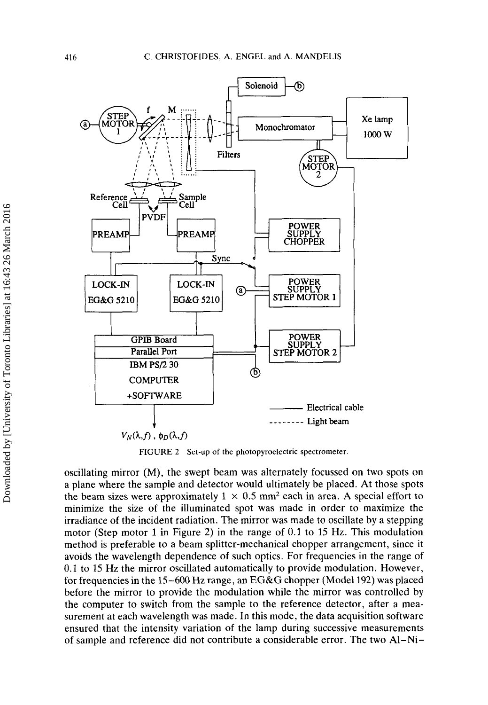

**FIGURE 2 Set-up** of **the photopyroelectric spectrometer** 

oscillating mirror (M), the swept beam was alternately focussed on two spots on a plane where the sample and detector would ultimately be placed. At those spots the beam sizes were approximately  $1 \times 0.5$  mm<sup>2</sup> each in area. A special effort to minimize the size of the illuminated spot was made in order to maximize the irradiance of the incident radiation. The mirror was made to oscillate by a stepping motor (Step motor 1 in Figure 2) in the range of 0.1 to 15 **Hz.** This modulation method is preferable to a beam splitter-mechanical chopper arrangement, since it avoids the wavelength dependence of such optics. For frequencies in the range of 0.1 to 15 **Hz** the mirror oscillated automatically to provide modulation. However, for frequencies in the 15-600 Hz range, an EG&G chopper (Model 192) was placed before the mirror to provide the modulation while the mirror was controlled by the computer to switch from the sample to the reference detector, after a measurement at each wavelength was made. In this mode, the data acquisition software ensured that the intensity variation of the lamp during successive measurements of sample and reference did not contribute a considerable error. The two A1-Ni-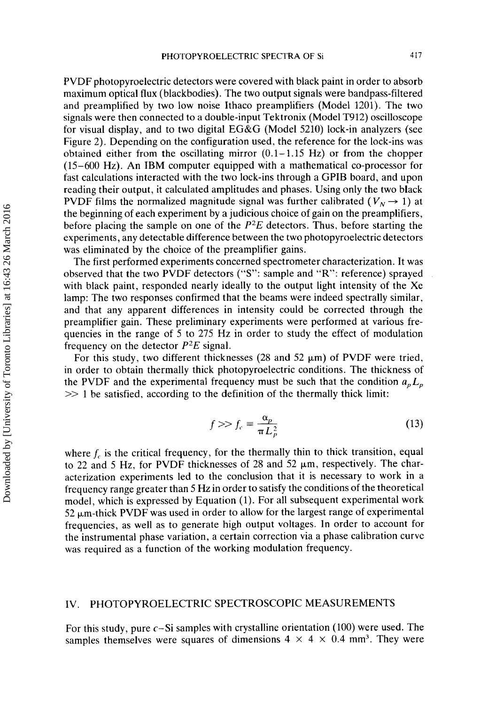PVDF photopyroelectric detectors were covered with black paint in order to absorb maximum optical flux (blackbodies). The two output signals were bandpass-filtered and preamplified by two low noise Ithaco preamplifiers (Model 1201). The two signals were then connected to a double-input Tektronix (Model T912) oscilloscope for visual display, and to two digital EG&G (Model 5210) lock-in analyzers (see Figure 2). Depending on the configuration used, the reference for the lock-ins was obtained either from the oscillating mirror  $(0.1-1.15 \text{ Hz})$  or from the chopper (15-600 Hz). An IBM computer equipped with a mathematical co-processor for fast calculations interacted with the two lock-ins through a GPIB board, and upon reading their output, it calculated amplitudes and phases. Using only the two black PVDF films the normalized magnitude signal was further calibrated ( $V<sub>N</sub> \rightarrow 1$ ) at the beginning of each experiment by a judicious choice of gain on the preamplifiers, before placing the sample on one of the *P'E* detectors. Thus, before starting the experiments, any detectable difference between the two photopyroelectric detectors was eliminated by the choice of the preamplifier gains.

The first performed experiments concerned spectrometer characterization. It was observed that the two PVDF detectors **("S":** sample and "R": reference) sprayed with black paint, responded nearly ideally to the output light intensity of the Xe lamp: The two responses confirmed that the beams were indeed spectrally similar, and that any apparent differences in intensity could be corrected through the preamplifier gain. These preliminary experiments were performed at various frequencies in the range of 5 to 275 Hz in order to study the effect of modulation frequency on the detector  $P^2E$  signal.

For this study, two different thicknesses (28 and 52  $\mu$ m) of PVDF were tried, in order to obtain thermally thick photopyroelectric conditions. The thickness of the PVDF and the experimental frequency must be such that the condition  $a_p L_p$ >> 1 be satisfied, according to the definition of the thermally thick limit:

$$
f \gg f_c \equiv \frac{\alpha_p}{\pi L_p^2} \tag{13}
$$

where  $f_c$  is the critical frequency, for the thermally thin to thick transition, equal to 22 and 5 Hz, for PVDF thicknesses of 28 and 52  $\mu$ m, respectively. The characterization experiments led to the conclusion that it is necessary to work in a frequency range greater than *5* Hz in order to satisfy the conditions of the theoretical model, which is expressed by Equation (1). For all subsequent experimental work  $52 \mu m$ -thick PVDF was used in order to allow for the largest range of experimental frequencies, as well as to generate high output voltages. In order to account for the instrumental phase variation, a certain correction via a phase calibration curve was required as a function of the working modulation frequency.

#### IV. PHOTOPYROELECTRIC SPECTROSCOPIC MEASUREMENTS

For this study, pure  $c-Si$  samples with crystalline orientation (100) were used. The samples themselves were squares of dimensions  $4 \times 4 \times 0.4$  mm<sup>3</sup>. They were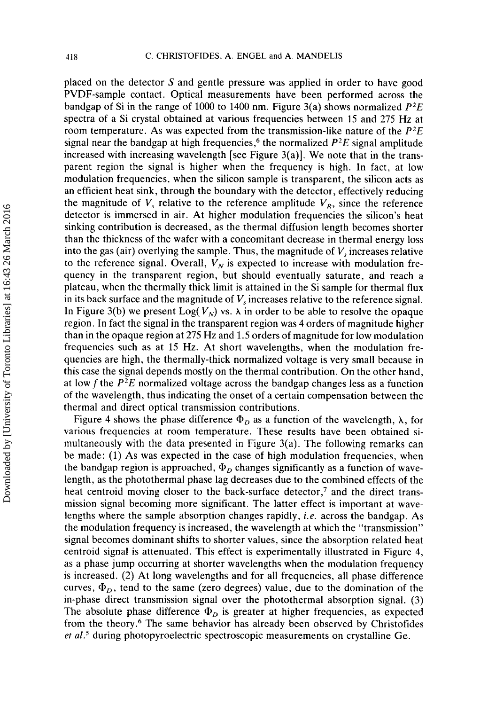placed on the detector *S* and gentle pressure was applied in order to have good PVDF-sample contact. Optical measurements have been performed across the bandgap of Si in the range of 1000 to 1400 nm. Figure 3(a) shows normalized *P2E*  spectra of a Si crystal obtained at various frequencies between 15 and *275* Hz at room temperature. As was expected from the transmission-like nature of the *P2E*  signal near the bandgap at high frequencies,<sup>6</sup> the normalized  $P^2E$  signal amplitude increased with increasing wavelength [see Figure  $3(a)$ ]. We note that in the transparent region the signal is higher when the frequency is high. In fact, at low modulation frequencies, when the silicon sample is transparent, the silicon acts as an efficient heat sink, through the boundary with the detector, effectively reducing the magnitude of  $V<sub>s</sub>$  relative to the reference amplitude  $V<sub>R</sub>$ , since the reference detector is immersed in air. At higher modulation frequencies the silicon's heat sinking contribution is decreased, as the thermal diffusion length becomes shorter than the thickness of the wafer with a concomitant decrease in thermal energy loss into the gas (air) overlying the sample. Thus, the magnitude of  $V_s$  increases relative to the reference signal. Overall,  $V_N$  is expected to increase with modulation frequency in the transparent region, but should eventually saturate, and reach a plateau, when the thermally thick limit is attained in the Si sample for thermal flux in its back surface and the magnitude of *V,* increases relative to the reference signal. In Figure 3(b) we present  $Log(V_N)$  vs.  $\lambda$  in order to be able to resolve the opaque region. In fact the signal in the transparent region was 4 orders of magnitude higher than in the opaque region at 275 Hz and 1.5 orders of magnitude for low modulation frequencies such as at 15 Hz. At short wavelengths, when the modulation frequencies are high, the thermally-thick normalized voltage is very small because in this case the signal depends mostly on the thermal contribution. On the other hand, at low f the  $P^2E$  normalized voltage across the bandgap changes less as a function of the wavelength, thus indicating the onset of a certain compensation between the thermal and direct optical transmission contributions.

Figure 4 shows the phase difference  $\Phi_D$  as a function of the wavelength,  $\lambda$ , for various frequencies at room temperature. These results have been obtained simultaneously with the data presented in Figure 3(a). The following remarks can be made: (1) As was expected in the case of high modulation frequencies, when the bandgap region is approached,  $\Phi_D$  changes significantly as a function of wavelength, as the photothermal phase lag decreases due to the combined effects of the heat centroid moving closer to the back-surface detector,<sup>7</sup> and the direct transmission signal becoming more significant. The latter effect is important at wavelengths where the sample absorption changes rapidly, *i.e.* across the bandgap. As the modulation frequency is increased, the wavelength at which the "transmission" signal becomes dominant shifts to shorter values, since the absorption related heat centroid signal is attenuated. This effect is experimentally illustrated in Figure 4, as a phase jump occurring at shorter wavelengths when the modulation frequency is increased. (2) At long wavelengths and for all frequencies, all phase difference curves,  $\Phi_D$ , tend to the same (zero degrees) value, due to the domination of the in-phase direct transmission signal over the photothermal absorption signal. (3) The absolute phase difference  $\Phi_D$  is greater at higher frequencies, as expected from the theory.6 The same behavior has already been observed by Christofides *et al.<sup>5</sup>* during photopyroelectric spectroscopic measurements on crystalline Ge.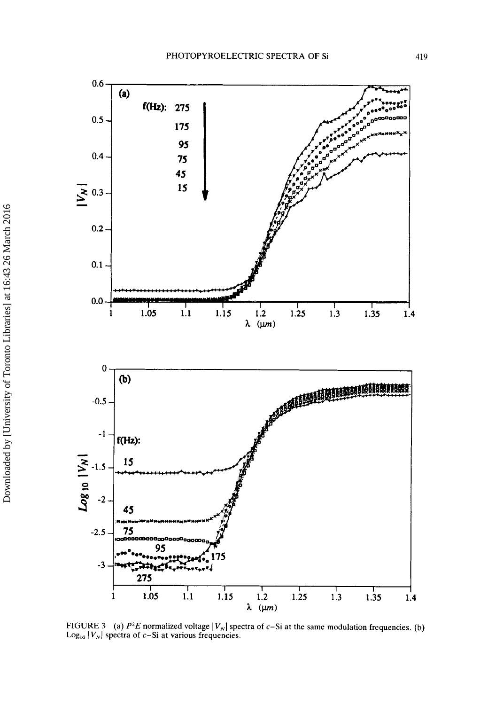

FIGURE 3 (a)  $P^2E$  normalized voltage  $|V_N|$  spectra of  $c-Si$  at the same modulation frequencies. (b)  $\text{Log}_{10} |V_N|$  spectra of c-Si at various frequencies.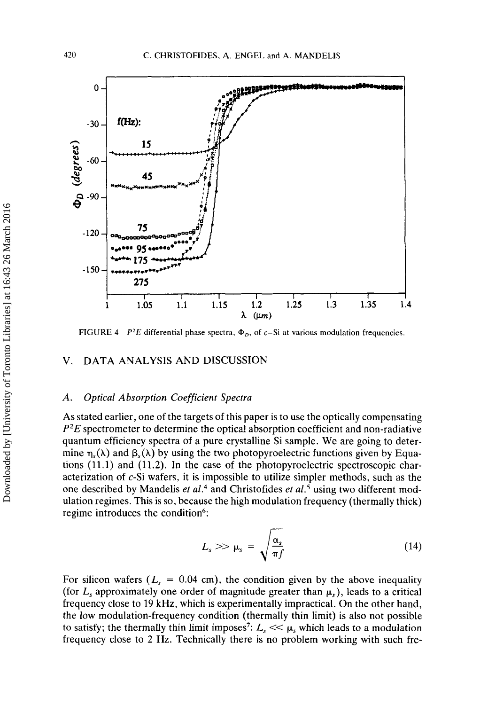

**FIGURE 4** *P*<sup>2</sup>*E* **differential phase spectra,**  $\Phi_D$ **, of** *c***-Si at various modulation frequencies.** 

## **V.** DATA ANALYSIS AND DISCUSSION

#### *A. Optical Absorption Coefficient Spectra*

**As** stated earlier, one of the targets of this paper is to use the optically compensating  $P^2E$  spectrometer to determine the optical absorption coefficient and non-radiative quantum efficiency spectra of a pure crystalline Si sample. We are going to determine  $\eta_{s}(\lambda)$  and  $\beta_{s}(\lambda)$  by using the two photopyroelectric functions given by Equations **(11.1)** and **(11.2).** In the case of the photopyroelectric spectroscopic characterization of c-Si wafers, it is impossible to utilize simpler methods, such as the one described by Mandelis *et* **aL4** and Christofides *et aL5* using two different modulation regimes. This is so, because the high modulation frequency (thermally thick) regime introduces the condition<sup>6</sup>:

$$
L_s \gg \mu_s = \sqrt{\frac{\alpha_s}{\pi f}}
$$
 (14)

For silicon wafers  $(L<sub>s</sub> = 0.04$  cm), the condition given by the above inequality (for  $L$ , approximately one order of magnitude greater than  $\mu$ ,), leads to a critical frequency close to **19** kHz, which is experimentally impractical. On the other hand, the low modulation-frequency condition (thermally thin limit) is also not possible to satisfy; the thermally thin limit imposes<sup>7</sup>:  $L_s \ll \mu_s$  which leads to a modulation frequency close to **2** Hz. Technically there is no problem working with such fre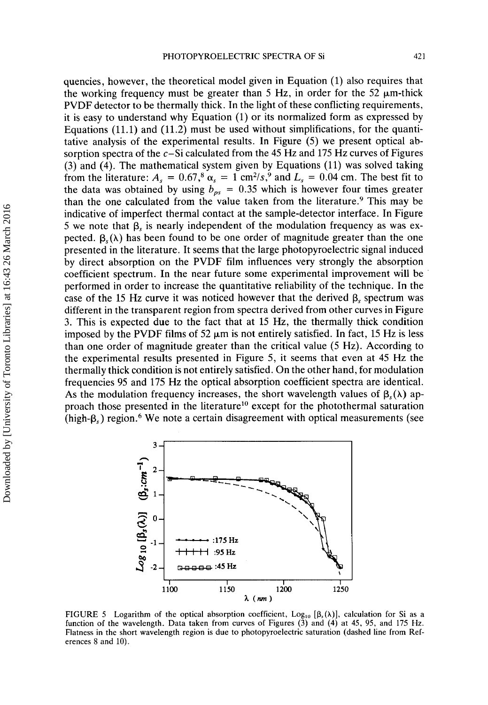quencies, however, the theoretical model given in Equation (1) also requires that the working frequency must be greater than 5 Hz, in order for the 52  $\mu$ m-thick PVDF detector to be thermally thick. In the light of these conflicting requirements, it is easy to understand why Equation (1) or its normalized form as expressed by Equations (11.1) and (11.2) must be used without simplifications, for the quantitative analysis of the experimental results. In Figure (5) we present optical absorption spectra of the  $c$ -Si calculated from the 45 Hz and 175 Hz curves of Figures **(3)** and (4). The mathematical system given by Equations (11) was solved taking from the literature:  $A_s = 0.67$ ,<sup>8</sup>  $\alpha_s = 1$  cm<sup>2</sup>/s,<sup>9</sup> and  $L_s = 0.04$  cm. The best fit to the data was obtained by using  $b_{ps} = 0.35$  which is however four times greater than the one calculated from the value taken from the literature.<sup>9</sup> This may be indicative of imperfect thermal contact at the sample-detector interface. In Figure 5 we note that  $\beta_s$  is nearly independent of the modulation frequency as was expected.  $\beta_s(\lambda)$  has been found to be one order of magnitude greater than the one presented in the literature. It seems that the large photopyroelectric signal induced by direct absorption on the PVDF film influences very strongly the absorption coefficient spectrum. In the near future some experimental improvement will be performed in order to increase the quantitative reliability of the technique. In the case of the 15 Hz curve it was noticed however that the derived **p,** spectrum was different in the transparent region from spectra derived from other curves in Figure **3.** This is expected due to the fact that at 15 Hz, the thermally thick condition imposed by the PVDF films of 52  $\mu$ m is not entirely satisfied. In fact, 15 Hz is less than one order of magnitude greater than the critical value (5 Hz). According to the experimental results presented in Figure 5, it seems that even at 45 Hz the thermally thick condition is not entirely satisfied. On the other hand, for modulation frequencies 95 and 175 Hz the optical absorption coefficient spectra are identical. As the modulation frequency increases, the short wavelength values of  $\beta_s(\lambda)$  approach those presented in the literature<sup>10</sup> except for the photothermal saturation (high- $\beta$ ,) region.<sup>6</sup> We note a certain disagreement with optical measurements (see



FIGURE 5 Logarithm of the optical absorption coefficient,  $Log_{10} [\beta_s(\lambda)]$ , calculation for Si as a function of the wavelength. Data taken from curves of Figures (3) and **(4)** at 45, 95, and 175 **Hz.**  Flatness in the short wavelength region **is** due to photopyroelectric saturation (dashed line from References **8** and 10).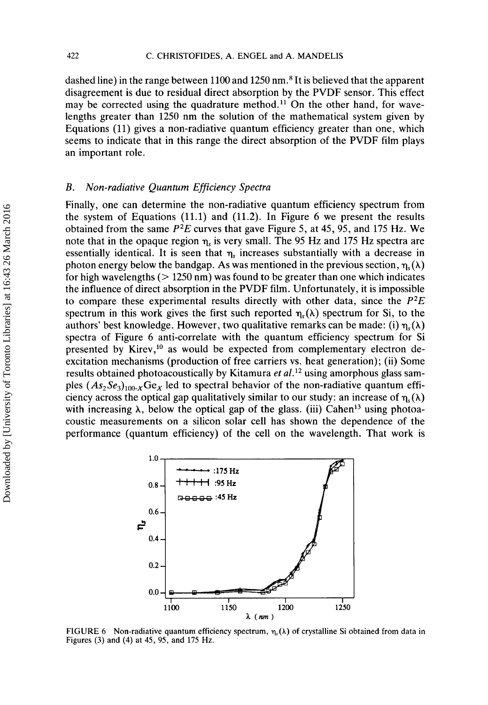dashed line) in the range between 1100 and 1250 nm.<sup>8</sup> It is believed that the apparent disagreement is due to residual direct absorption by the PVDF sensor. This effect may be corrected using the quadrature method.<sup>11</sup> On the other hand, for wavelengths greater than 1250 nm the solution of the mathematical system given by Equations (11) gives a non-radiative quantum efficiency greater than one, which seems to indicate that in this range the direct absorption of the PVDF film plays an important role.

## *B.* Non-radiative Quantum Efficiency Spectra

Finally, one can determine the non-radiative quantum efficiency spectrum from the system of Equations  $(11.1)$  and  $(11.2)$ . In Figure 6 we present the results obtained from the same  $P^2E$  curves that gave Figure 5, at 45, 95, and 175 Hz. We note that in the opaque region  $\eta_s$  is very small. The 95 Hz and 175 Hz spectra are essentially identical. It is seen that  $\eta_s$  increases substantially with a decrease in photon energy below the bandgap. As was mentioned in the previous section,  $\eta_s(\lambda)$ for high wavelengths  $(> 1250 \text{ nm})$  was found to be greater than one which indicates the influence of direct absorption in the PVDF film. Unfortunately, it is impossible to compare these experimental results directly with other data, since the  $P^2E$ spectrum in this work gives the first such reported  $\eta_s(\lambda)$  spectrum for Si, to the authors' best knowledge. However, two qualitative remarks can be made: (i)  $\eta_s(\lambda)$ spectra of Figure 6 anti-correlate with the quantum efficiency spectrum for Si presented by Kirev,<sup>10</sup> as would be expected from complementary electron deexcitation mechanisms (production of free carriers vs. heat generation); (ii) Some results obtained photoacoustically by Kitamura *et al*.<sup>12</sup> using amorphous glass samples  $(As_2Se_3)_{100}$  Ge<sub>x</sub> led to spectral behavior of the non-radiative quantum efficiency across the optical gap qualitatively similar to our study: an increase of  $\eta_s(\lambda)$ with increasing  $\lambda$ , below the optical gap of the glass. (iii) Cahen<sup>13</sup> using photoacoustic measurements on a silicon solar cell has shown the dependence of the performance (quantum efficiency) of the cell on the wavelength. That work is



**FIGURE 6** Non-radiative quantum efficiency spectrum,  $\eta_1(\lambda)$  of crystalline Si obtained from data in **Figures** *(3)* **and (4) at 45,** 95, **and 175 Hz.**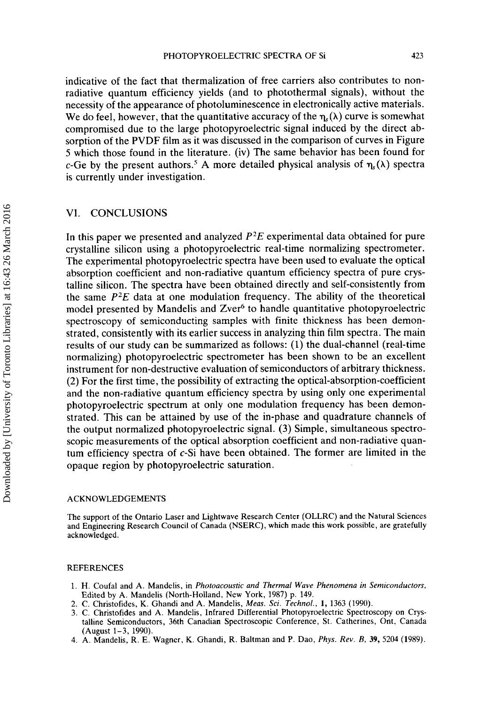indicative of the fact that thermalization of free carriers also contributes to nonradiative quantum efficiency yields (and to photothermal signals), without the necessity of the appearance of photoluminescence in electronically active materials. We do feel, however, that the quantitative accuracy of the  $\eta_i(\lambda)$  curve is somewhat compromised due to the large photopyroelectric signal induced by the direct absorption of the PVDF film as it was discussed in the comparison of curves in Figure 5 which those found in the literature. (iv) The same behavior has been found for c-Ge by the present authors.<sup>5</sup> A more detailed physical analysis of  $\eta_s(\lambda)$  spectra is currently under investigation.

## VI. **CONCLUSIONS**

In this paper we presented and analyzed *P2E* experimental data obtained for pure crystalline silicon using a photopyroelectric real-time normalizing spectrometer. The experimental photopyroelectric spectra have been used to evaluate the optical absorption coefficient and non-radiative quantum efficiency spectra of pure crystalline silicon. The spectra have been obtained directly and self-consistently from the same  $P^2E$  data at one modulation frequency. The ability of the theoretical model presented by Mandelis and Zver<sup>6</sup> to handle quantitative photopyroelectric spectroscopy of semiconducting samples with finite thickness has been demonstrated, consistently with its earlier success in analyzing thin film spectra. The main results of our study can be summarized as follows: (1) the dual-channel (real-time normalizing) photopyroelectric spectrometer has been shown to be an excellent instrument for non-destructive evaluation of semiconductors of arbitrary thickness. (2) For the first time, the possibility of extracting the optical-absorption-coefficient and the non-radiative quantum efficiency spectra by using only one experimental photopyroelectric spectrum at only one modulation frequency has been demonstrated. This can be attained by use of the in-phase and quadrature channels of the output normalized photopyroelectric signal. **(3)** Simple, simultaneous spectroscopic measurements of the optical absorption coefficient and non-radiative quantum efficiency spectra of c-Si have been obtained. The former are limited in the opaque region by photopyroelectric saturation.

#### **ACKNOWLEDGEMENTS**

**The support of the Ontario Laser and Lightwave Research Center (OLLRC) and the Natural Sciences and Engineering Research Council of Canada (NSERC), which made this work possible, are gratefully acknowledged.** 

#### **REFERENCES**

- **1. H. Coufal and A. Mandelis, in** *Photoacoustic and Thermal Wave Phenomena in Semrconducfors.*  **Edited by A. Mandelis (North-Holland, New York, 1987) p. 149.**
- 2. **C. Christofides, K. Ghandi and A. Mandelis,** *Meas. Sci. Technol.,* **I, 1363 (1990).**
- **3. C. Christofides and A. Mandelis, Infrared Differential Photopyroelectric Spectroscopy** on **Crystalline Semiconductors, 36th Canadian Spectroscopic Conference, St. Catherines, Ont. Canada (August 1-3, 1990).**
- **4. A. Mandelis, R. E. Wagner, K. Ghandi, R. Baltman and P. Dao,** *Phys. Rev. B,* **39,5204 (1989).**